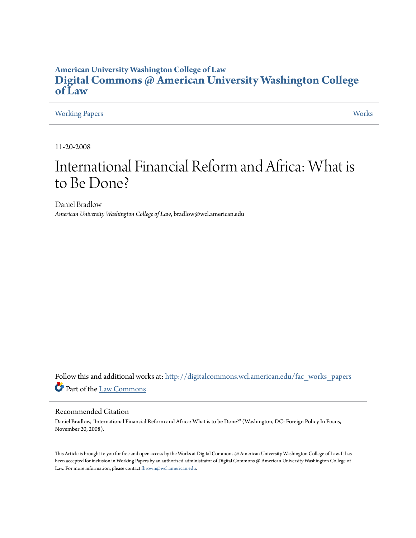### **American University Washington College of Law [Digital Commons @ American University Washington College](http://digitalcommons.wcl.american.edu?utm_source=digitalcommons.wcl.american.edu%2Ffac_works_papers%2F19&utm_medium=PDF&utm_campaign=PDFCoverPages) [of Law](http://digitalcommons.wcl.american.edu?utm_source=digitalcommons.wcl.american.edu%2Ffac_works_papers%2F19&utm_medium=PDF&utm_campaign=PDFCoverPages)**

### [Working Papers](http://digitalcommons.wcl.american.edu/fac_works_papers?utm_source=digitalcommons.wcl.american.edu%2Ffac_works_papers%2F19&utm_medium=PDF&utm_campaign=PDFCoverPages) [Works](http://digitalcommons.wcl.american.edu/fac_works?utm_source=digitalcommons.wcl.american.edu%2Ffac_works_papers%2F19&utm_medium=PDF&utm_campaign=PDFCoverPages)

11-20-2008

## International Financial Reform and Africa: What is to Be Done?

Daniel Bradlow *American University Washington College of Law*, bradlow@wcl.american.edu

Follow this and additional works at: [http://digitalcommons.wcl.american.edu/fac\\_works\\_papers](http://digitalcommons.wcl.american.edu/fac_works_papers?utm_source=digitalcommons.wcl.american.edu%2Ffac_works_papers%2F19&utm_medium=PDF&utm_campaign=PDFCoverPages) Part of the [Law Commons](http://network.bepress.com/hgg/discipline/578?utm_source=digitalcommons.wcl.american.edu%2Ffac_works_papers%2F19&utm_medium=PDF&utm_campaign=PDFCoverPages)

### Recommended Citation

Daniel Bradlow, "International Financial Reform and Africa: What is to be Done?" (Washington, DC: Foreign Policy In Focus, November 20, 2008).

This Article is brought to you for free and open access by the Works at Digital Commons @ American University Washington College of Law. It has been accepted for inclusion in Working Papers by an authorized administrator of Digital Commons @ American University Washington College of Law. For more information, please contact [fbrown@wcl.american.edu.](mailto:fbrown@wcl.american.edu)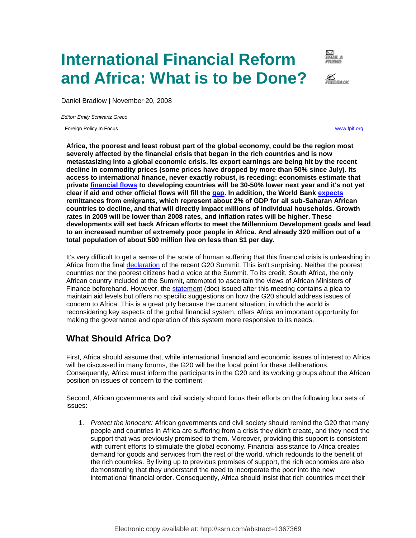# **International Financial Reform and Africa: What is to be Done?**



Ø<br>FEEDBACK

Daniel Bradlow | November 20, 2008

*Editor: Emily Schwartz Greco*

Foreign Policy In Focus [www.fpif.org](http://www.fpif.org/)

**Africa, the poorest and least robust part of the global economy, could be the region most severely affected by the financial crisis that began in the rich countries and is now metastasizing into a global economic crisis. Its export earnings are being hit by the recent decline in commodity prices (some prices have dropped by more than 50% since July). Its access to international finance, never exactly robust, is receding: economists estimate that private [financial flows](http://web.worldbank.org/WBSITE/EXTERNAL/NEWS/0,,contentMDK:21972885~pagePK:64257043~piPK:437376~theSitePK:4607,00.html) to developing countries will be 30-50% lower next year and it's not yet clear if aid and other official flows will fill the [gap.](http://www.iif.com/press/press+81.php) In addition, the World Bank [expects](http://web.worldbank.org/WBSITE/EXTERNAL/NEWS/0,,contentMDK:21972885~pagePK:64257043~piPK:437376~theSitePK:4607,00.html) remittances from emigrants, which represent about 2% of GDP for all sub-Saharan African countries to decline, and that will directly impact millions of individual households. Growth rates in 2009 will be lower than 2008 rates, and inflation rates will be higher. These developments will set back African efforts to meet the Millennium Development goals and lead to an increased number of extremely poor people in Africa. And already 320 million out of a total population of about 500 million live on less than \$1 per day.** 

It's very difficult to get a sense of the scale of human suffering that this financial crisis is unleashing in Africa from the final [declaration](http://www.whitehouse.gov/news/releases/2008/11/20081115-1.html) of the recent G20 Summit. This isn't surprising. Neither the poorest countries nor the poorest citizens had a voice at the Summit. To its credit, South Africa, the only African country included at the Summit, attempted to ascertain the views of African Ministers of Finance beforehand. However, the [statement](http://www.afdb.org/pls/portal/docs/PAGE/ADB_ADMIN_PG/DOCUMENTS/NEWS/COMMUNIQUE%20OF%20THE%20MEETING%20OF%20AFRICAN%20MINISTERS%20OF%20FINANCE.DOC) (doc) issued after this meeting contains a plea to maintain aid levels but offers no specific suggestions on how the G20 should address issues of concern to Africa. This is a great pity because the current situation, in which the world is reconsidering key aspects of the global financial system, offers Africa an important opportunity for making the governance and operation of this system more responsive to its needs.

## **What Should Africa Do?**

First, Africa should assume that, while international financial and economic issues of interest to Africa will be discussed in many forums, the G20 will be the focal point for these deliberations. Consequently, Africa must inform the participants in the G20 and its working groups about the African position on issues of concern to the continent.

Second, African governments and civil society should focus their efforts on the following four sets of issues:

1. *Protect the innocent:* African governments and civil society should remind the G20 that many people and countries in Africa are suffering from a crisis they didn't create, and they need the support that was previously promised to them. Moreover, providing this support is consistent with current efforts to stimulate the global economy. Financial assistance to Africa creates demand for goods and services from the rest of the world, which redounds to the benefit of the rich countries. By living up to previous promises of support, the rich economies are also demonstrating that they understand the need to incorporate the poor into the new international financial order. Consequently, Africa should insist that rich countries meet their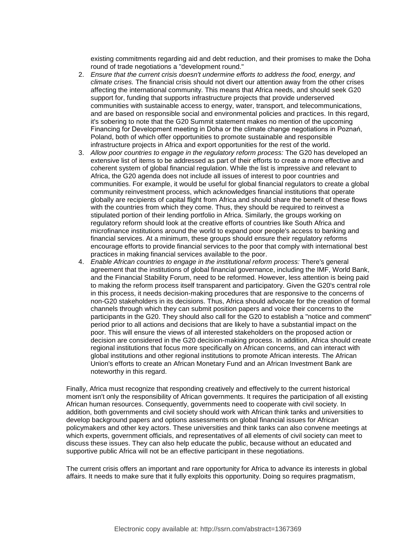existing commitments regarding aid and debt reduction, and their promises to make the Doha round of trade negotiations a "development round."

- 2. *Ensure that the current crisis doesn't undermine efforts to address the food, energy, and climate crises.* The financial crisis should not divert our attention away from the other crises affecting the international community. This means that Africa needs, and should seek G20 support for, funding that supports infrastructure projects that provide underserved communities with sustainable access to energy, water, transport, and telecommunications, and are based on responsible social and environmental policies and practices. In this regard, it's sobering to note that the G20 Summit statement makes no mention of the upcoming Financing for Development meeting in Doha or the climate change negotiations in Poznań, Poland, both of which offer opportunities to promote sustainable and responsible infrastructure projects in Africa and export opportunities for the rest of the world.
- 3. *Allow poor countries to engage in the regulatory reform process:* The G20 has developed an extensive list of items to be addressed as part of their efforts to create a more effective and coherent system of global financial regulation. While the list is impressive and relevant to Africa, the G20 agenda does not include all issues of interest to poor countries and communities. For example, it would be useful for global financial regulators to create a global community reinvestment process, which acknowledges financial institutions that operate globally are recipients of capital flight from Africa and should share the benefit of these flows with the countries from which they come. Thus, they should be required to reinvest a stipulated portion of their lending portfolio in Africa. Similarly, the groups working on regulatory reform should look at the creative efforts of countries like South Africa and microfinance institutions around the world to expand poor people's access to banking and financial services. At a minimum, these groups should ensure their regulatory reforms encourage efforts to provide financial services to the poor that comply with international best practices in making financial services available to the poor.
- 4. *Enable African countries to engage in the institutional reform process:* There's general agreement that the institutions of global financial governance, including the IMF, World Bank, and the Financial Stability Forum, need to be reformed. However, less attention is being paid to making the reform process itself transparent and participatory. Given the G20's central role in this process, it needs decision-making procedures that are responsive to the concerns of non-G20 stakeholders in its decisions. Thus, Africa should advocate for the creation of formal channels through which they can submit position papers and voice their concerns to the participants in the G20. They should also call for the G20 to establish a "notice and comment" period prior to all actions and decisions that are likely to have a substantial impact on the poor. This will ensure the views of all interested stakeholders on the proposed action or decision are considered in the G20 decision-making process. In addition, Africa should create regional institutions that focus more specifically on African concerns, and can interact with global institutions and other regional institutions to promote African interests. The African Union's efforts to create an African Monetary Fund and an African Investment Bank are noteworthy in this regard.

Finally, Africa must recognize that responding creatively and effectively to the current historical moment isn't only the responsibility of African governments. It requires the participation of all existing African human resources. Consequently, governments need to cooperate with civil society. In addition, both governments and civil society should work with African think tanks and universities to develop background papers and options assessments on global financial issues for African policymakers and other key actors. These universities and think tanks can also convene meetings at which experts, government officials, and representatives of all elements of civil society can meet to discuss these issues. They can also help educate the public, because without an educated and supportive public Africa will not be an effective participant in these negotiations.

The current crisis offers an important and rare opportunity for Africa to advance its interests in global affairs. It needs to make sure that it fully exploits this opportunity. Doing so requires pragmatism,